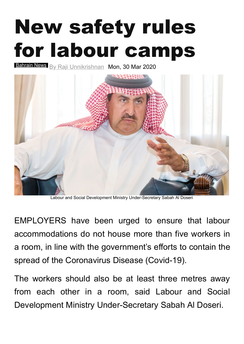## New safety rules for labour camps

[Bahrain News](http://www.gdnonline.com/Details/788293/New-safety-rules-for-labour-camps#) <sub>By [Raji Unnikrishnan](http://www.gdnonline.com/Details/788293/New-safety-rules-for-labour-camps#)</sub> Mon, 30 Mar 2020



Labour and Social Development Ministry Under-Secretary Sabah Al Doseri

EMPLOYERS have been urged to ensure that labour accommodations do not house more than five workers in a room, in line with the government's efforts to contain the spread of the Coronavirus Disease (Covid-19).

The workers should also be at least three metres away from each other in a room, said Labour and Social Development Ministry Under-Secretary Sabah Al Doseri.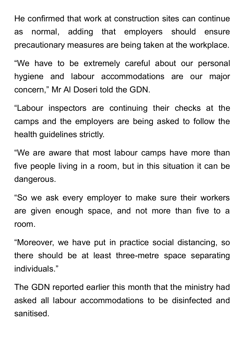He confirmed that work at construction sites can continue as normal, adding that employers should ensure precautionary measures are being taken at the workplace.

"We have to be extremely careful about our personal hygiene and labour accommodations are our major concern, " Mr Al Doseri told the GDN.

"Labour inspectors are continuing their checks at the camps and the employers are being asked to follow the health guidelines strictly.

"We are aware that most labour camps have more than five people living in a room, but in this situation it can be dangerous.

"So we ask every employer to make sure their workers are given enough space, and not more than five to a room.

"Moreover, we have put in practice social distancing, so there should be at least three-metre space separating individuals."

The GDN reported earlier this month that the ministry had asked all labour accommodations to be disinfected and sanitised.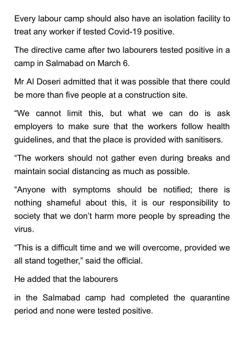Every labour camp should also have an isolation facility to treat any worker if tested Covid-19 positive.

The directive came after two labourers tested positive in a camp in Salmabad on March 6.

Mr Al Doseri admitted that it was possible that there could be more than five people at a construction site.

"We cannot limit this, but what we can do is ask employers to make sure that the workers follow health guidelines, and that the place is provided with sanitisers.

"The workers should not gather even during breaks and maintain social distancing as much as possible.

"Anyone with symptoms should be notified; there is nothing shameful about this, it is our responsibility to society that we don't harm more people by spreading the virus.

"This is a difficult time and we will overcome, provided we all stand together, " said the official.

He added that the labourers

in the Salmabad camp had completed the quarantine period and none were tested positive.